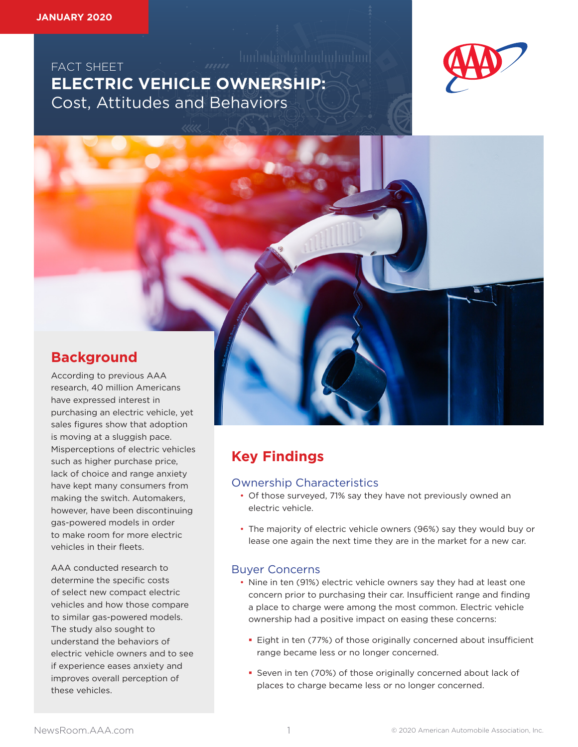FACT SHEET AND AND ACT **ELECTRIC VEHICLE OWNERSHIP:**  Cost, Attitudes and Behaviors



## **Background**

According to previous AAA research, 40 million Americans have expressed interest in purchasing an electric vehicle, yet sales figures show that adoption is moving at a sluggish pace. Misperceptions of electric vehicles such as higher purchase price, lack of choice and range anxiety have kept many consumers from making the switch. Automakers, however, have been discontinuing gas-powered models in order to make room for more electric vehicles in their fleets.

AAA conducted research to determine the specific costs of select new compact electric vehicles and how those compare to similar gas-powered models. The study also sought to understand the behaviors of electric vehicle owners and to see if experience eases anxiety and improves overall perception of these vehicles.

# **Key Findings**

### Ownership Characteristics

- Of those surveyed, 71% say they have not previously owned an electric vehicle.
- The majority of electric vehicle owners (96%) say they would buy or lease one again the next time they are in the market for a new car.

### Buyer Concerns

- Nine in ten (91%) electric vehicle owners say they had at least one concern prior to purchasing their car. Insufficient range and finding a place to charge were among the most common. Electric vehicle ownership had a positive impact on easing these concerns:
	- **Eight in ten (77%) of those originally concerned about insufficient** range became less or no longer concerned.
	- Seven in ten (70%) of those originally concerned about lack of places to charge became less or no longer concerned.